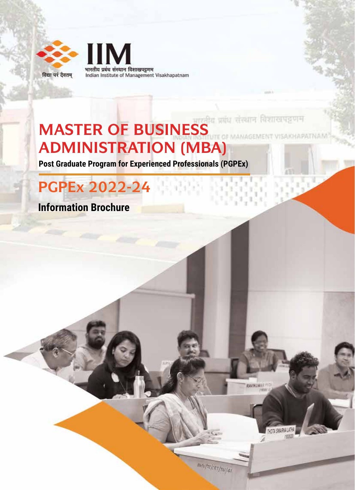

**IIM** भारतीय प्रबंध संस्थान विशाखपट्टणम Indian Institute of Management Visakhapatnam

# **MASTER OF BUSINESS ADMINISTRATION (MBA)**

**Post Graduate Program for Experienced Professionals (PGPEx)**

# **PGPEx 2022-24**

**Information Brochure**

mny/selekt/10/41

JAGEMENT VISAKHAPATNAM

THOTA SWARNA LATHA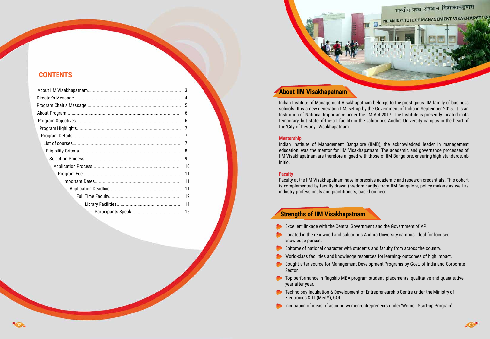| 3  |
|----|
|    |
| 5  |
|    |
|    |
|    |
|    |
|    |
|    |
|    |
|    |
| 11 |
| 11 |
| 11 |
| 12 |
| 14 |
| 15 |
|    |

## **CONTENTS**

## **About IIM Visakhapatnam**

Indian Institute of Management Visakhapatnam belongs to the prestigious IIM family of business schools. It is a new generation IIM, set up by the Government of India in September 2015. It is an Institution of National Importance under the IIM Act 2017. The Institute is presently located in its temporary, but state-of-the-art facility in the salubrious Andhra University campus in the heart of the 'City of Destiny', Visakhapatnam.

## **Mentorship**

Indian Institute of Management Bangalore (IIMB), the acknowledged leader in management education, was the mentor for IIM Visakhapatnam. The academic and governance processes of IIM Visakhapatnam are therefore aligned with those of IIM Bangalore, ensuring high standards, ab initio.

## **Faculty**

Faculty at the IIM Visakhapatnam have impressive academic and research credentials. This cohort is complemented by faculty drawn (predominantly) from IIM Bangalore, policy makers as well as industry professionals and practitioners, based on need.

## **Strengths of IIM Visakhapatnam**

- Excellent linkage with the Central Government and the Government of AP.
- **Conducted in the renowned and salubrious Andhra University campus, ideal for focused** knowledge pursuit.
- Epitome of national character with students and faculty from across the country. World-class facilities and knowledge resources for learning- outcomes of high impact.
- 
- Sought-after source for Management Development Programs by Govt. of India and Corporate Sector.
- year-after-year.
- **Technology Incubation & Development of Entrepreneurship Centre under the Ministry of** Electronics & IT (MeitY), GOI.
- **Incubation of ideas of aspiring women-entrepreneurs under 'Women Start-up Program'.**



**Top performance in flagship MBA program student-placements, qualitative and quantitative,** 

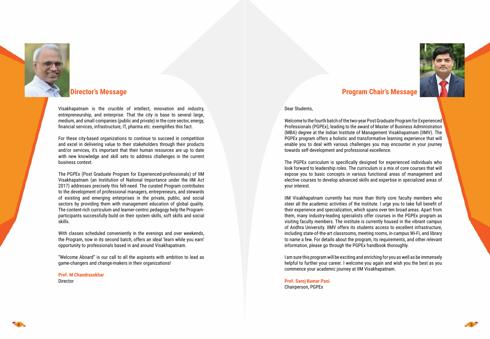Visakhapatnam is the crucible of intellect, innovation and industry, entrepreneurship, and enterprise. That the city is base to several large, medium, and small companies (public and private) in the core sector, energy, financial services, infrastructure, IT, pharma etc. exemplifies this fact.

For these city-based organizations to continue to succeed in competition and excel in delivering value to their stakeholders through their products and/or services, it's important that their human resources are up to date with new knowledge and skill sets to address challenges in the current business context.

The PGPEx (Post Graduate Program for Experienced-professionals) of IIM Visakhapatnam (an Institution of National Importance under the IIM Act 2017) addresses precisely this felt-need. The curated Program contributes to the development of professional managers, entrepreneurs, and stewards of existing and emerging enterprises in the private, public, and social sectors by providing them with management education of global quality. The content-rich curriculum and learner-centric pedagogy help the Programparticipants successfully build on their system skills, soft skills and social skills.

With classes scheduled conveniently in the evenings and over weekends, the Program, now in its second batch, offers an ideal 'learn while you earn' opportunity to professionals based in and around Visakhapatnam.

"Welcome Aboard" is our call to all the aspirants with ambition to lead as game-changers and change-makers in their organizations!

**Prof. M Chandrasekhar** Director



## **Director's Message**

### Dear Students,

Welcome to the fourth batch of the two-year Post Graduate Program for Experienced Professionals (PGPEx), leading to the award of Master of Business Administration (MBA) degree at the Indian Institute of Management Visakhapatnam (IIMV). The PGPEx program offers a holistic and transformative learning experience that will enable you to deal with various challenges you may encounter in your journey towards self-development and professional excellence.

The PGPEx curriculum is specifically designed for experienced individuals who look forward to leadership roles. The curriculum is a mix of core courses that will expose you to basic concepts in various functional areas of management and elective courses to develop advanced skills and expertise in specialized areas of your interest.

IIM Visakhapatnam currently has more than thirty core faculty members who steer all the academic activities of the institute. I urge you to take full benefit of their experience and specialization, which spans over ten broad areas. Apart from them, many industry-leading specialists offer courses in the PGPEx program as visiting faculty members. The institute is currently housed in the vibrant campus of Andhra University. IIMV offers its students access to excellent infrastructure, including state-of-the-art classrooms, meeting rooms, in-campus Wi-Fi, and library to name a few. For details about the program, its requirements, and other relevant information, please go through the PGPEx handbook thoroughly.

I am sure this program will be exciting and enriching for you as well as be immensely helpful to further your career. I welcome you again and wish you the best as you commence your academic journey at IIM Visakhapatnam.

## **Prof. Saroj Kumar Pani**

Chairperson, PGPEx





## **Program Chair's Message**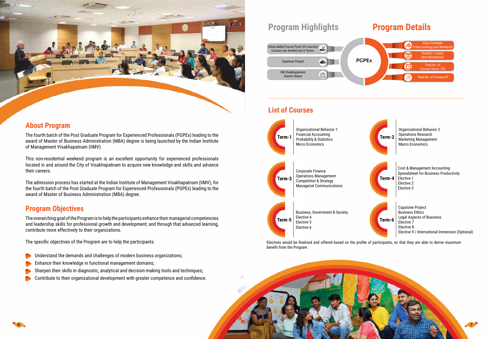## **List of Courses**

Electives would be finalized and offered based on the profile of participants, so that they are able to derive maximum benefit from the Program.







## **About Program**

The fourth batch of the Post Graduate Program for Experienced Professionals (PGPEx) leading to the award of Master of Business Administration (MBA) degree is being launched by the Indian Institute of Management Visakhapatnam (IIMV).

This non-residential weekend program is an excellent opportunity for experienced professionals located in and around the City of Visakhapatnam to acquire new knowledge and skills and advance their careers.

The admission process has started at the Indian Institute of Management Visakhapatnam (IIMV), for the fourth batch of the Post Graduate Program for Experienced Professionals (PGPEx) leading to the award of Master of Business Administration (MBA) degree.

## **Program Objectives**

The overarching goal of the Program is to help the participants enhance their managerial competencies and leadership skills for professional growth and development; and through that advanced learning, contribute more effectively to their organizations.

The specific objectives of the Program are to help the participants:

- Understand the demands and challenges of modern business organizations;
- Enhance their knowledge in functional management domains;
- Sharpen their skills in diagnostic, analytical and decision-making tools and techniques;
- Contribute to their organizational development with greater competence and confidence.

# **Program Highlights Program Details**

----------------------------------------------------------------------------------------------------------------





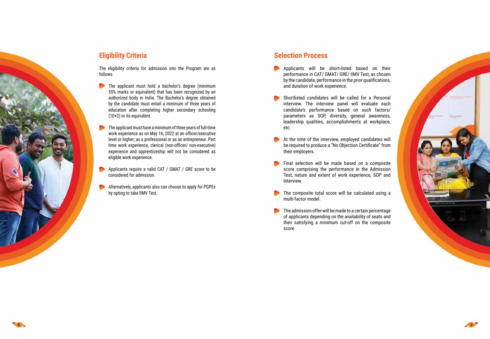

**Eligibility Criteria**

The eligibility criteria for admission into the Program are as follows:

- The applicant must hold a bachelor's degree (minimum 55% marks or equivalent) that has been recognized by an authorized body in India. The Bachelor's degree obtained by the candidate must entail a minimum of three years of education after completing higher secondary schooling (10+2) or its equivalent.
- The applicant must have a minimum of three years of full-time work experience as on May 16, 2022 at an officer/executive level or higher; as a professional or as an entrepreneur. Part time work experience, clerical (non-officer/ non-executive) experience and apprenticeship will not be considered as eligible work experience.
- Applicants require a valid CAT / GMAT / GRE score to be considered for admission.
- Alternatively, applicants also can choose to apply for PGPEx by opting to take IIMV Test.

## **Selection Process**

- **Applicants will be short-listed based on their** performance in CAT/ GMAT/ GRE/ IIMV Test, as chosen by the candidate, performance in the prior qualifications, and duration of work experience.
- Shortlisted candidates will be called for a Personal interview. The interview panel will evaluate each candidate's performance based on such factors/ parameters as SOP, diversity, general awareness, leadership qualities, accomplishments at workplace, etc.
- At the time of the interview, employed candidates will be required to produce a "No Objection Certificate" from their employers.
- Final selection will be made based on a composite score comprising the performance in the Admission Test, nature and extent of work experience, SOP and Interview.
- The composite total score will be calculated using a multi-factor model.
- $\bullet$  The admission offer will be made to a certain percentage of applicants depending on the availability of seats and their satisfying a minimum cut-off on the composite score



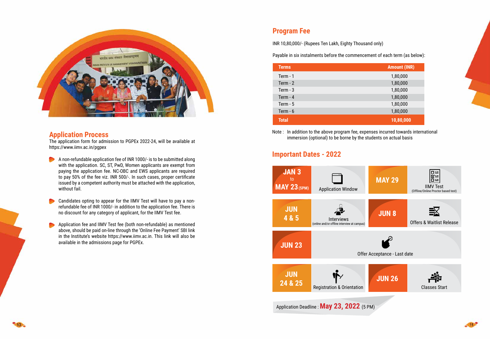

## **Application Process**

The application form for admission to PGPEx 2022-24, will be available at https://www.iimv.ac.in/pgpex







- A non-refundable application fee of INR 1000/- is to be submitted along with the application. SC, ST, PwD, Women applicants are exempt from paying the application fee. NC-OBC and EWS applicants are required to pay 50% of the fee viz. INR 500/-. In such cases, proper certificate issued by a competent authority must be attached with the application, without fail.
- Candidates opting to appear for the IIMV Test will have to pay a nonrefundable fee of INR 1000/- in addition to the application fee. There is no discount for any category of applicant, for the IIMV Test fee.
- Application fee and IIMV Test fee (both non-refundable) as mentioned above, should be paid on-line through the 'Online Fee Payment' SBI link in the Institute's website https://www.iimv.ac.in. This link will also be available in the admissions page for PGPEx.

# **Important Dates - 2022**

## **Program Fee**

INR 10,80,000/- (Rupees Ten Lakh, Eighty Thousand only)

Payable in six instalments before the commencement of each term (as below):

| <b>Terms</b> | <b>Amount (INR)</b> |
|--------------|---------------------|
| Term $-1$    | 1,80,000            |
| Term $-2$    | 1,80,000            |
| Term $-3$    | 1,80,000            |
| Term $-4$    | 1,80,000            |
| Term $-5$    | 1,80,000            |
| Term $-6$    | 1,80,000            |
| <b>Total</b> | 10,80,000           |

Note : In addition to the above program fee, expenses incurred towards international immersion (optional) to be borne by the students on actual basis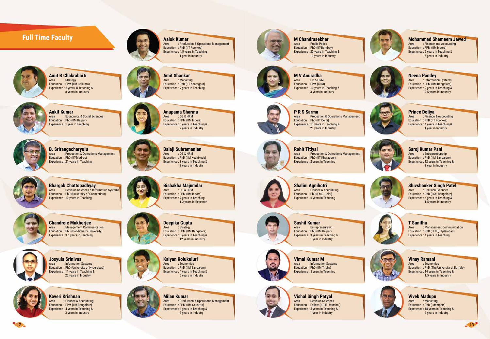Education : PhD (IIT Roorkee) Experience : 4.5 years in Teaching 1 year in Industry

: Production & Operations Management

# **Full Time Faculty**



**Amit B Chakrabarti**<br>Area : Strategy : Strategy Education : FPM (IIM Calcutta) Experience : 5 years in Teaching & 8 years in Industry

**Amit Shankar**<br>Area : Marketin : Marketing Education : PhD (IIT Kharagpur) Experience : 7 years in Teaching



**Ankit Kumar**<br>**Area Econo** : Economics & Social Sciences Education : PhD (IIM Raipur) Experience : 1 year in Teaching



**Bhargab Chattopadhyay**<br>Area : Decision Sciences & Info : Decision Sciences & Information Systems Education : PhD (University of Connecticut) Experience : 10 years in Teaching



**Anupama Sharma** : OB & HRM Education : FPM (IIM Indore) Experience : 6 years in Teaching & 2 years in Industry



**Bishakha Majumdar**<br>Area 1008 & HRM  $:$  OB & HRM Education : FPM (IIM Indore) Experience : 7 years in Teaching 1.2 years in Research



**Deepika Gupta**<br>Area : Strategy : Strategy Education : FPM (IIM Bangalore) Experience : 5 years in Teaching & 12 years in Industry



**Chandreie Mukherjee**<br>Area **Management Commu** : Management Communication Education : PhD (Pondicherry University) Experience : 3.5 years in Teaching



**B. Srirangacharyulu** : Production & Operations Management Education : PhD (IIT-Madras) Experience : 21 years in Teaching

**Balaji Subramanian**  $:$  OB & HRM Education : PhD (IIM Kozhikode) Experience : 8 years in Teaching & 3 years in Industry



**Kaveri Krishnan**<br>Area : Finance & A : Finance & Accounting Education : FPM (IIM Bangalore) Experience : 4 years in Teaching & 3 years in Industry







**Milan Kumar** : Production & Operations Management Education : FPM (IIM Calcutta) Experience : 4 years in Teaching & 2 years in Industry



**M Chandrasekhar**<br>Area : Public Policy

: Public Policy Education : PhD (IIT-Bombay) Experience : 20 years in Teaching & 19 years in Industry



**M V Anuradha**<br>Area : OB & HRN : OB & HRM

: Finance and Accounting Education : FPM (IIM Indore) Experience : 5 years in Teaching & 5 years in Industry

: Information Systems Education : FPM (IIM Bangalore) Experience : 2 years in Teaching & 9.5 years in Industry



**Prince Doliya**<br>Area : Finance

: Finance & Accounting Education : PhD (IIT Roorkee) Experience : 4 years in Teaching & 1 year in Industry

## **Saroj Kumar Pani**



**Josyula Srinivas** Area : Information Systems Education : PhD (University of Hyderabad) Experience : 11 years in Teaching & 27 years in Industry

: Entrepreneurship Education : PhD (IIM Bangalore) Experience : 12 years in Teaching & 3 year in Industry

**Kalyan Kolukuluri** : Economics Education : PhD (IIM Bangalore) Experience : 4 years in Teaching & 5 years in Industry





**Sushil Kumar**<br>*Area* : Entrepre : Entrepreneurship Education : PhD (IIM Raipur) Experience : 3 years in Teaching & 1 year in Industry

: Management Communication Education : PhD (EFLU, Hyderabad) Experience : 4 years in Teaching

## **Vinay Ramani**<br>Area **Economi**



**Vimal Kumar M**<br>Area : Information : Information Systems Education : PhD (IIM Trichy) Experience : 5 years in Teaching

: Economics Education : PhD (The University at Buffalo) Experience : 14 years in Teaching & 1.5 years in Industry

## **Vivek Madupu**<br>Area : Marketing

: Marketing Education : PhD ( Memphis) Experience : 18 years in Teaching & 2 years in Industry



**Shivshanker Singh Patel**<br>Area 11 Decision Sciences : Decision Sciences





Education : FPM (XLRI) Experience : 10 years in Teaching & 3 years in Industry

## **Neena Pandey**



**P R S Sarma** : Production & Operations Management Education : PhD (IIT Delhi) Experience : 13 years in Teaching & 21 years in Industry



**Rohit Titiyal** : Production & Operations Management Education : PhD (IIT Kharagpur) Experience : 2 years in Teaching



**Shalini Agnihotri**

Area : Finance & Accounting Education : PhD (FMS, Delhi) Experience : 6 years in Teaching

Education : PhD (IISc, Bangalore) Experience : 6 years in Teaching & 1.5 years in Industry



## **T Sunitha**



**Vishal Singh Patyal** Area : Decision Sciences Education : Fellow (NITIE, Mumbai) Experience : 5 years in Teaching & 1 year in Industry





# **Mohammad Shameem Jawed**<br>Area **Finance and Accounting**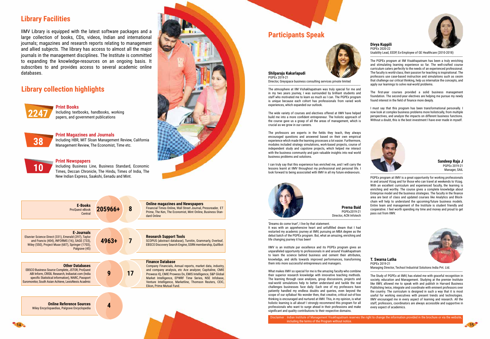## **Library Facilities**

IIMV Library is equipped with the latest software packages and a large collection of books, CDs, videos, Indian and international journals; magazines and research reports relating to management and allied subjects. The library has access to almost all the major journals in the management disciplines. The Institute is committed to expanding the knowledge-resources on an ongoing basis. It subscribes to and provides access to several academic online databases.

# **Library collection highlights**



**Print Books** Including textbooks, handbooks, working **2247** papers, and government publications



# **38** Including HBR, MIT Sloan Management Review, California Management Review, The Economist, Time etc.

**Print Magazines and Journals**

## **Print Newspapers**

Including Business Line, Business Standard, Economic Times, Deccan Chronicle, The Hindu, Times of India, The New Indian Express, Saakshi, Eenadu and Mint.



| <b>E-Books</b><br>ProQuest eBook<br>Central                                                                                                                                                                                                        | 205966+ | 8  | <b>Online magazines and Newspapers</b><br>Financial Times Online, Wall Street Journal, Pressreader, ET<br>Prime, The Ken, The Economist, Mint Online, Business Stan-<br>dard Online                                                                                                                                                                               |
|----------------------------------------------------------------------------------------------------------------------------------------------------------------------------------------------------------------------------------------------------|---------|----|-------------------------------------------------------------------------------------------------------------------------------------------------------------------------------------------------------------------------------------------------------------------------------------------------------------------------------------------------------------------|
| <b>E-Journals</b><br>Elsevier Science Direct (331), Emerald (297), Taylor<br>and Francis (404), INFORMS (16), SAGE (733),<br>Wiley (550), Project Muse (687), Springer (1703),<br>Palgrave (45)                                                    | 4963+   |    | <b>Research Support Tools</b><br>SCOPUS (abstract database), Turnitin, Grammarly, Overleaf,<br>EBSCO Discovery Search Engine, SSRN membership, Quillbot                                                                                                                                                                                                           |
| <b>Other Databases</b><br><b>EBSCO Business Source Complete, JSTOR, ProQuest</b><br>ABI Inform, CRISIL Research, Indiastat.com (India<br>specific Statistical information), WARC, Passport<br>Euromonitor, South Asian Achieve, LexisNexis Acadmic | 9       | 17 | <b>Finance Database</b><br>Company Financials, Annual reports, market data, industry,<br>and company analysis, etc Ace analyzer, Capitaline, CMIE<br>Prowess IQ, CMIE Prowess Dx, EMIS Intelligence, S&P Global<br>Market Intelligence, EPWRF Time Series, NSE Infobase,<br>Venture Intelligence, Marketline, Thomson Reuters, CEIC,<br>Eikon, Prime Mutual Fund. |
| <b>Online Reference Sources</b><br>Wiley Encyclopaedias, Palgrave Encyclopedia                                                                                                                                                                     |         |    |                                                                                                                                                                                                                                                                                                                                                                   |
|                                                                                                                                                                                                                                                    |         |    |                                                                                                                                                                                                                                                                                                                                                                   |

# **Participants Speak**



### **Divya Kuppili**

PGPEx 2020-22 Usability Lead, EEDP, Ex-Employee of GE Healthcare (2010-2018)

----------------------------------------------------------------------------------------------------------------- The PGPEx program at IIM Visakhapatnam has been a truly enriching and stimulating learning experience so far. The well-crafted course curriculum caters perfectly to the needs of an experienced professional. The faculty is world-class; their passion for teaching is inspirational. The professors use case-based instruction and simulations such as cesim that challenge our critical thinking, help us internalize the concepts, and apply our learnings to solve real-world problems.

The first-year courses provided a solid business management foundation. The second-year electives are helping me pursue my newly found interest in the field of finance more deeply.

I must say that this program has been transformational personally. I now look at complex business problems more holistically, from multiple perspectives, and analyze the impacts on different business functions. Without a doubt, this is the best investment I have ever made in myself.

### **Prerna Baid** PGPEx2019-21 Director, ACN Infotech



'Dreams do come true!', I live by that statement. It was with an apprehensive heart and unfulfilled dream that I had restarted my academic journey at IIMV, pursuing an MBA degree as the debut batch of the PGPEx program. But, what an amazing, enriching and life changing journey it has been!

IIMV is an institute par excellence and its PGPEx program gives an unparalleled opportunity to professionals in and around Visakhapatnam to learn the science behind business and cement their attributes, knowledge, and skills towards improved performances, transforming them into more successful entrepreneurs and managers.

What makes IIMV so special for me is the amazing faculty-who combine their superior research knowledge with innovative teaching methods. The learning through case analyses, group discussions, projects and real-world simulations help to better understand and tackle the real challenges businesses face daily. Each one of my professors have patiently handled my endless doubts and queries, even beyond the scope of our syllabus! No wonder then, that creative, critical out-of-box thinking is encouraged and nurtured at IIMV. This, in my opinion, is what holistic learning is all about! I strongly recommend this program for all professionals who want to surge ahead in their professions and make significant and quality contributions to their respective domains.

**Sandeep Raja J** PGPEx 2019-21 Manager, SAIL



PGPEx program at IIMV is a great opportunity for working professionals in and around Vizag and for those who can travel at weekends to Vizag. With an excellent curriculum and experienced faculty, the learning is enriching and worthy. The course gives a complete knowledge about Enterprise model and the business strategies. The faculty in the finance area are best of class and updated courses like Analytics and Blockchain will help to understand the upcoming/future business models. Entire team and management of the Institute is student friendly and cooperative. I feel worth spending my time and money and proud to get pass out from IIMV.



### **Shilparaju Kakarlapudi** PGPEx 2019-21

Director, Greyspace business consulting services private limited

-----------------------------------------------------------------------------------------------------------------

The atmosphere at IIM Vishakhapatnam was truly special for me and in my two years journey, I was surrounded by brilliant students and staff who motivated me to learn as much as I can. The PGPEx program is unique because each cohort has professionals from varied work experiences, which expanded our outlook.

The wide variety of courses and electives offered at IIMV have helped build me into a more confident entrepreneur. The holistic approach of the course gave us a grasp of all the areas of management, which is crucial as we grow in our careers.

The professors are experts in the fields they teach, they always encouraged questions and answered based on their own empirical experience which made the learning processes a lot easier. Furthermore, modules included strategy simulations, work-based projects, course of independent study and capstone projects, which helped me interact with the business community and gain valuable insights into real world business problems and solutions.

I can truly say that this experience has enriched me, and I will carry the lessons learnt at IIMV throughout my professional and personal life. I look forward to being associated with IIMV in all my future endeavours.

### **T. Swarna Latha** PGPEx 2019-21

Managing Director, Techsol Industrial Solutions India Pvt. Ltd.

----------------------------------------------------------------------------------------------------------------- The Study of PGPEx at IIMV, has elated me with graceful recognition in society, education and Management. Studying at the premier Institute like IIMV, allowed me to speak with and publish in Harvard Business Publishing twice, integrate and coordinate with eminent professors over the country. The curriculum is designed in such a way that it is most useful for working executives with present trends and technologies. IIMV encouraged me in every aspect of learning and research. All the staff, professors, coordinators are always accessible and supportive in every aspect of academics.



including the terms of the Program without notice.